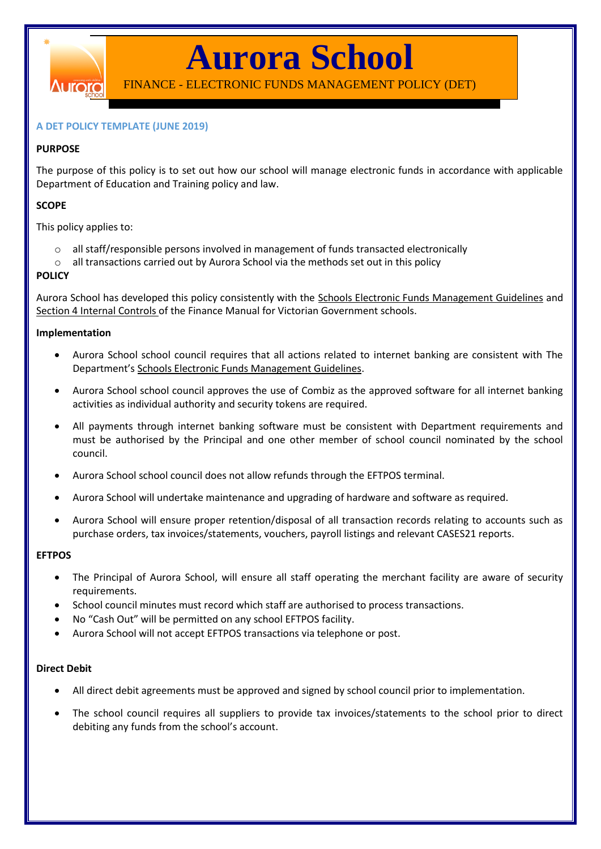

**Aurora School**

FINANCE - ELECTRONIC FUNDS MANAGEMENT POLICY (DET)

### **A DET POLICY TEMPLATE (JUNE 2019)**

### **PURPOSE**

The purpose of this policy is to set out how our school will manage electronic funds in accordance with applicable Department of Education and Training policy and law.

### **SCOPE**

This policy applies to:

- $\circ$  all staff/responsible persons involved in management of funds transacted electronically
- $\circ$  all transactions carried out by Aurora School via the methods set out in this policy

### **POLICY**

Aurora School has developed this policy consistently with the [Schools Electronic Funds Management Guidelines](http://www.education.vic.gov.au/Documents/school/principals/finance/Fin%20Schools%20Electronic%20Funds%20Management%20Guidelines%20V1_2.pdf) and [Section 4 Internal Controls](http://www.education.vic.gov.au/Documents/school/teachers/management/fmvgssection4.pdf) of the Finance Manual for Victorian Government schools.

#### **Implementation**

- Aurora School school council requires that all actions related to internet banking are consistent with The Department's [Schools Electronic Funds Management Guidelines.](http://www.education.vic.gov.au/Documents/school/principals/finance/Fin%20Schools%20Electronic%20Funds%20Management%20Guidelines%20V1_2.pdf)
- Aurora School school council approves the use of Combiz as the approved software for all internet banking activities as individual authority and security tokens are required.
- All payments through internet banking software must be consistent with Department requirements and must be authorised by the Principal and one other member of school council nominated by the school council.
- Aurora School school council does not allow refunds through the EFTPOS terminal.
- Aurora School will undertake maintenance and upgrading of hardware and software as required.
- Aurora School will ensure proper retention/disposal of all transaction records relating to accounts such as purchase orders, tax invoices/statements, vouchers, payroll listings and relevant CASES21 reports.

### **EFTPOS**

- The Principal of Aurora School, will ensure all staff operating the merchant facility are aware of security requirements.
- School council minutes must record which staff are authorised to process transactions.
- No "Cash Out" will be permitted on any school EFTPOS facility.
- Aurora School will not accept EFTPOS transactions via telephone or post.

### **Direct Debit**

- All direct debit agreements must be approved and signed by school council prior to implementation.
- The school council requires all suppliers to provide tax invoices/statements to the school prior to direct debiting any funds from the school's account.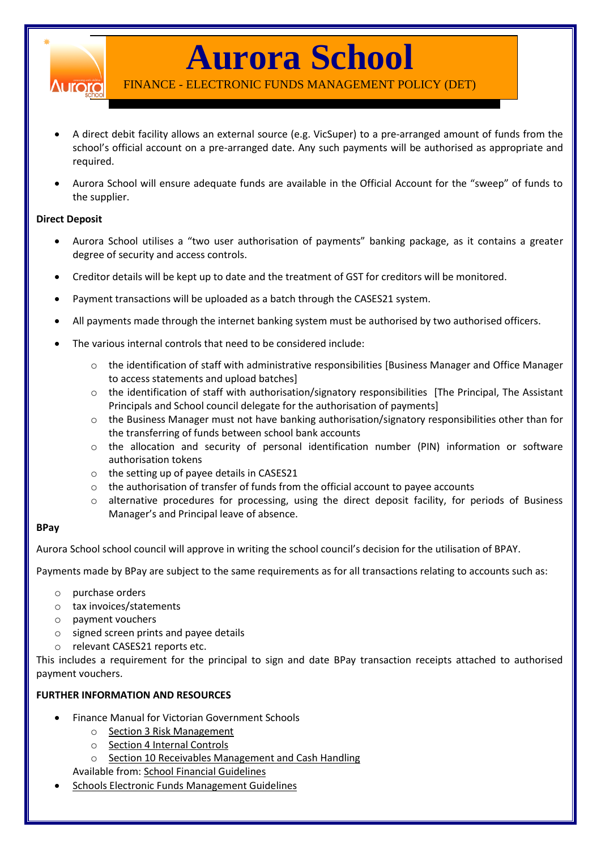

## **Aurora School**

FINANCE - ELECTRONIC FUNDS MANAGEMENT POLICY (DET)

- A direct debit facility allows an external source (e.g. VicSuper) to a pre-arranged amount of funds from the school's official account on a pre-arranged date. Any such payments will be authorised as appropriate and required.
- Aurora School will ensure adequate funds are available in the Official Account for the "sweep" of funds to the supplier.

### **Direct Deposit**

- Aurora School utilises a "two user authorisation of payments" banking package, as it contains a greater degree of security and access controls.
- Creditor details will be kept up to date and the treatment of GST for creditors will be monitored.
- Payment transactions will be uploaded as a batch through the CASES21 system.
- All payments made through the internet banking system must be authorised by two authorised officers.
- The various internal controls that need to be considered include:
	- o the identification of staff with administrative responsibilities [Business Manager and Office Manager to access statements and upload batches]
	- $\circ$  the identification of staff with authorisation/signatory responsibilities [The Principal, The Assistant Principals and School council delegate for the authorisation of payments]
	- $\circ$  the Business Manager must not have banking authorisation/signatory responsibilities other than for the transferring of funds between school bank accounts
	- o the allocation and security of personal identification number (PIN) information or software authorisation tokens
	- o the setting up of payee details in CASES21
	- o the authorisation of transfer of funds from the official account to payee accounts
	- o alternative procedures for processing, using the direct deposit facility, for periods of Business Manager's and Principal leave of absence.

### **BPay**

Aurora School school council will approve in writing the school council's decision for the utilisation of BPAY.

Payments made by BPay are subject to the same requirements as for all transactions relating to accounts such as:

- o purchase orders
- o tax invoices/statements
- o payment vouchers
- o signed screen prints and payee details
- o relevant CASES21 reports etc.

This includes a requirement for the principal to sign and date BPay transaction receipts attached to authorised payment vouchers.

### **FURTHER INFORMATION AND RESOURCES**

- Finance Manual for Victorian Government Schools
	- o [Section 3 Risk Management](http://www.education.vic.gov.au/Documents/school/teachers/management/fmvgssection3.pdf)
	- o [Section 4 Internal Controls](http://www.education.vic.gov.au/Documents/school/teachers/management/fmvgssection4.pdf)
	- o [Section 10 Receivables Management and Cash Handling](http://www.education.vic.gov.au/Documents/school/teachers/management/fmvgssection10.pdf)

Available from[: School Financial Guidelines](http://www.education.vic.gov.au/school/teachers/management/finance/Pages/guidelines.aspx)

[Schools Electronic Funds](http://www.education.vic.gov.au/Documents/school/principals/finance/Fin%20Schools%20Electronic%20Funds%20Management%20Guidelines%20V1_2.pdf) Management Guidelines